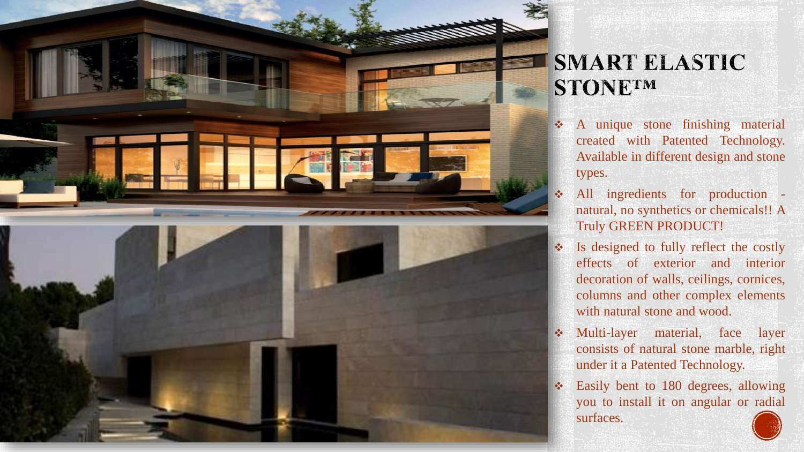

### **SMART ELASTIC** STONETM

- ❖ A unique stone finishing material created with Patented Technology. Available in different design and stone types.
- ❖ All ingredients for production natural, no synthetics or chemicals!! A Truly GREEN PRODUCT!
- ❖ Is designed to fully reflect the costly effects of exterior and interior decoration of walls, ceilings, cornices, columns and other complex elements with natural stone and wood.
- ❖ Multi-layer material, face layer consists of natural stone marble, right under it a Patented Technology.
- ❖ Easily bent to 180 degrees, allowing you to install it on angular or radial surfaces.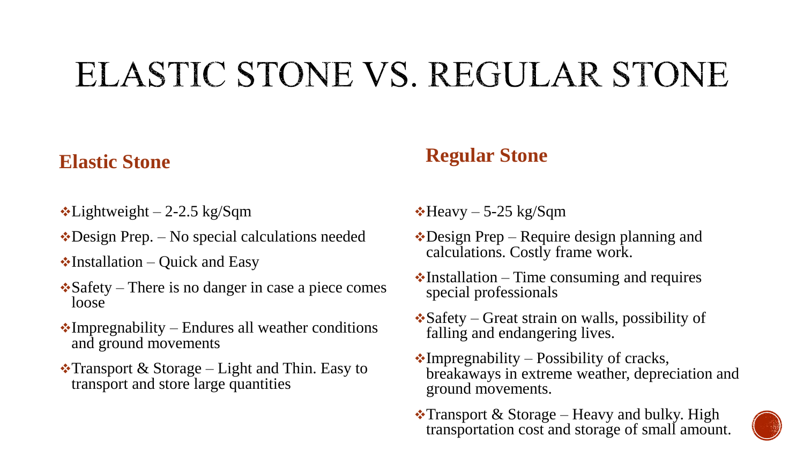# ELASTIC STONE VS. REGULAR STONE

#### **Elastic Stone**

- $\cdot$ Lightweight 2-2.5 kg/Sqm
- ❖Design Prep. No special calculations needed
- $\cdot$ Installation Quick and Easy
- $\triangle$ Safety There is no danger in case a piece comes loose
- $\cdot$ Impregnability Endures all weather conditions and ground movements
- $\cdot$ Transport & Storage Light and Thin. Easy to transport and store large quantities

#### **Regular Stone**

- $\cdot$ Heavy 5-25 kg/Sqm
- ❖Design Prep Require design planning and calculations. Costly frame work.
- $\cdot$ Installation Time consuming and requires special professionals
- ❖Safety Great strain on walls, possibility of falling and endangering lives.
- $\cdot$ Impregnability Possibility of cracks, breakaways in extreme weather, depreciation and ground movements.
- $\cdot$ Transport & Storage Heavy and bulky. High transportation cost and storage of small amount.